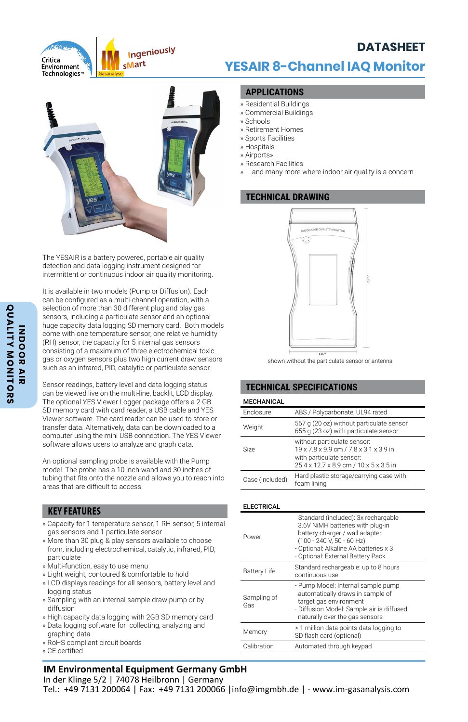

# **YESAIR 8-Channel IAQ Monitor**

**DATASHEET**



The YESAIR is a battery powered, portable air quality detection and data logging instrument designed for intermittent or continuous indoor air quality monitoring.

It is available in two models (Pump or Diffusion). Each can be configured as a multi-channel operation, with a selection of more than 30 different plug and play gas sensors, including a particulate sensor and an optional huge capacity data logging SD memory card. Both models come with one temperature sensor, one relative humidity (RH) sensor, the capacity for 5 internal gas sensors consisting of a maximum of three electrochemical toxic gas or oxygen sensors plus two high current draw sensors such as an infrared, PID, catalytic or particulate sensor.

Sensor readings, battery level and data logging status can be viewed live on the multi-line, backlit, LCD display. The optional YES Viewer Logger package offers a 2 GB SD memory card with card reader, a USB cable and YES Viewer software. The card reader can be used to store or transfer data. Alternatively, data can be downloaded to a computer using the mini USB connection. The YES Viewer software allows users to analyze and graph data.

An optional sampling probe is available with the Pump model. The probe has a 10 inch wand and 30 inches of tubing that fits onto the nozzle and allows you to reach into areas that are difficult to access.

### **KEY FEATURES**

- » Capacity for 1 temperature sensor, 1 RH sensor, 5 internal gas sensors and 1 particulate sensor
- » More than 30 plug & play sensors available to choose from, including electrochemical, catalytic, infrared, PID, particulate
- » Multi-function, easy to use menu
- » Light weight, contoured & comfortable to hold
- » LCD displays readings for all sensors, battery level and logging status
- » Sampling with an internal sample draw pump or by diffusion
- » High capacity data logging with 2GB SD memory card
- » Data logging software for collecting, analyzing and graphing data
- » RoHS compliant circuit boards
- » CE certified

# **IM Environmental Equipment Germany GmbH**

In der Klinge 5/2 | 74078 Heilbronn | Germany Tel.: +49 7131 200064 | Fax: +49 7131 200066 |info@imgmbh.de | - www.im-gasanalysis.com

# **APPLICATIONS**

- » Residential Buildings
- » Commercial Buildings
- » Schools
- » Retirement Homes
- » Sports Facilities
- » Hospitals
- » Airports»
- » Research Facilities
- » ... and many more where indoor air quality is a concern

# **TECHNICAL DRAWING**



shown without the particulate sensor or antenna

# **TECHNICAL SPECIFICATIONS**

### **MECHANICAL**

| Enclosure       | ABS / Polycarbonate, UL94 rated                                                                                                             |
|-----------------|---------------------------------------------------------------------------------------------------------------------------------------------|
| Weight          | 567 g (20 oz) without particulate sensor<br>655 g (23 oz) with particulate sensor                                                           |
| Size            | without particulate sensor:<br>19 x 7.8 x 9.9 cm / 7.8 x 3.1 x 3.9 in<br>with particulate sensor:<br>25.4 x 12.7 x 8.9 cm / 10 x 5 x 3.5 in |
| Case (included) | Hard plastic storage/carrying case with<br>foam lining                                                                                      |

### **ELECTRICAL**

| Power               | Standard (included): 3x rechargable<br>3.6V NiMH batteries with plug-in<br>battery charger / wall adapter<br>(100 - 240 V, 50 - 60 Hz)<br>- Optional: Alkaline AA batteries x 3<br>- Optional: External Battery Pack |
|---------------------|----------------------------------------------------------------------------------------------------------------------------------------------------------------------------------------------------------------------|
| <b>Battery Life</b> | Standard rechargeable: up to 8 hours<br>continuous use                                                                                                                                                               |
| Sampling of<br>Gas  | - Pump Model: Internal sample pump<br>automatically draws in sample of<br>target gas environment<br>- Diffusion Model: Sample air is diffused<br>naturally over the gas sensors                                      |
| Memory              | > 1 million data points data logging to<br>SD flash card (optional)                                                                                                                                                  |
| Calibration         | Automated through keypad                                                                                                                                                                                             |
|                     |                                                                                                                                                                                                                      |